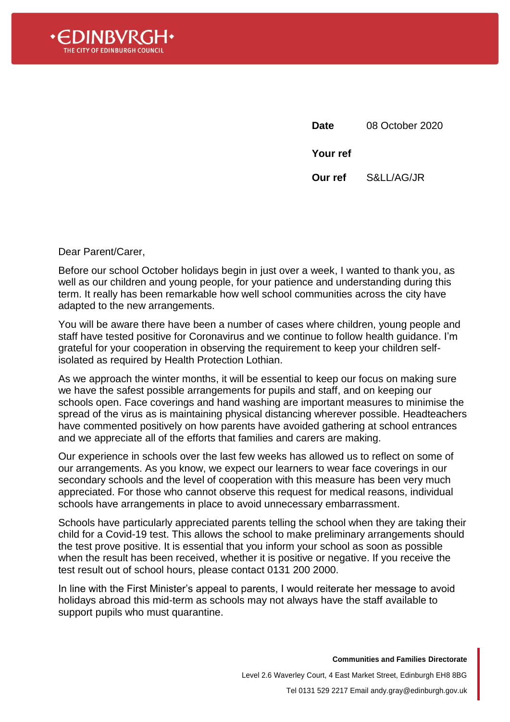

**Date** 08 October 2020 **Your ref Our ref** S&LL/AG/JR

Dear Parent/Carer,

Before our school October holidays begin in just over a week, I wanted to thank you, as well as our children and young people, for your patience and understanding during this term. It really has been remarkable how well school communities across the city have adapted to the new arrangements.

You will be aware there have been a number of cases where children, young people and staff have tested positive for Coronavirus and we continue to follow health guidance. I'm grateful for your cooperation in observing the requirement to keep your children selfisolated as required by Health Protection Lothian.

As we approach the winter months, it will be essential to keep our focus on making sure we have the safest possible arrangements for pupils and staff, and on keeping our schools open. Face coverings and hand washing are important measures to minimise the spread of the virus as is maintaining physical distancing wherever possible. Headteachers have commented positively on how parents have avoided gathering at school entrances and we appreciate all of the efforts that families and carers are making.

Our experience in schools over the last few weeks has allowed us to reflect on some of our arrangements. As you know, we expect our learners to wear face coverings in our secondary schools and the level of cooperation with this measure has been very much appreciated. For those who cannot observe this request for medical reasons, individual schools have arrangements in place to avoid unnecessary embarrassment.

Schools have particularly appreciated parents telling the school when they are taking their child for a Covid-19 test. This allows the school to make preliminary arrangements should the test prove positive. It is essential that you inform your school as soon as possible when the result has been received, whether it is positive or negative. If you receive the test result out of school hours, please contact 0131 200 2000.

In line with the First Minister's appeal to parents, I would reiterate her message to avoid holidays abroad this mid-term as schools may not always have the staff available to support pupils who must quarantine.